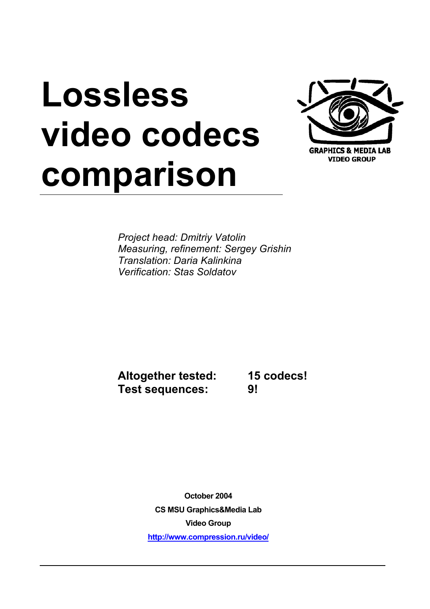# **Lossless video codecs comparison**



*Project head: Dmitriy Vatolin Measuring, refinement: Sergey Grishin Translation: Daria Kalinkina Verification: Stas Soldatov* 

**Altogether tested: 15 codecs! Test sequences: 9!** 

**October 2004 CS MSU Graphics&Media Lab Video Group http://www.compression.ru/video/**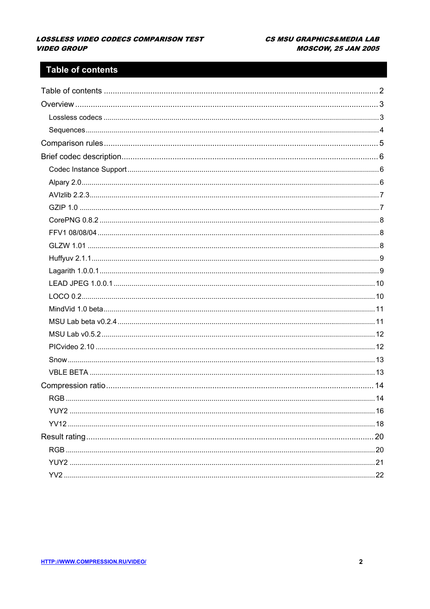#### **LOSSLESS VIDEO CODECS COMPARISON TEST VIDEO GROUP**

## **Table of contents**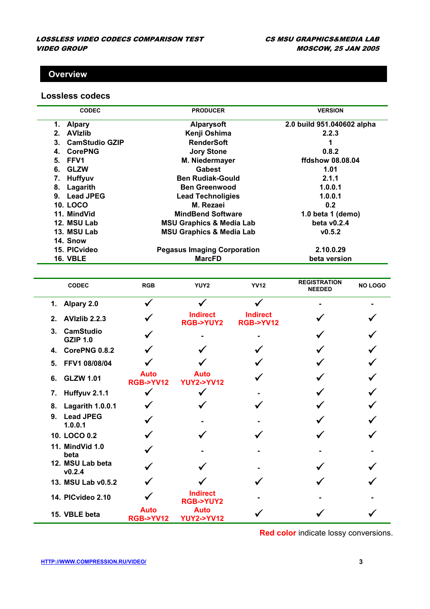#### **Overview**

#### **Lossless codecs**

| <b>CODEC</b>                | <b>PRODUCER</b>                     | <b>VERSION</b>             |
|-----------------------------|-------------------------------------|----------------------------|
| <b>Alpary</b><br>1.         | <b>Alparysoft</b>                   | 2.0 build 951.040602 alpha |
| <b>AVIzlib</b><br>$2_{-}$   | Kenji Oshima                        | 2.2.3                      |
| <b>CamStudio GZIP</b><br>3. | <b>RenderSoft</b>                   |                            |
| <b>CorePNG</b><br>4.        | <b>Jory Stone</b>                   | 0.8.2                      |
| <b>5. FFV1</b>              | M. Niedermayer                      | ffdshow 08.08.04           |
| <b>GLZW</b><br>6.           | Gabest                              | 1.01                       |
| Huffyuv<br>7.               | <b>Ben Rudiak-Gould</b>             | 2.1.1                      |
| Lagarith<br>8.              | <b>Ben Greenwood</b>                | 1.0.0.1                    |
| <b>Lead JPEG</b><br>9.      | <b>Lead Technoligies</b>            | 1.0.0.1                    |
| <b>10. LOCO</b>             | M. Rezaei                           | 0.2                        |
| 11. MindVid                 | <b>MindBend Software</b>            | 1.0 beta 1 (demo)          |
| 12. MSU Lab                 | <b>MSU Graphics &amp; Media Lab</b> | beta $v0.2.4$              |
| 13. MSU Lab                 | <b>MSU Graphics &amp; Media Lab</b> | v0.5.2                     |
| 14. Snow                    |                                     |                            |
| 15. PICvideo                | <b>Pegasus Imaging Corporation</b>  | 2.10.0.29                  |
| <b>16. VBLE</b>             | <b>MarcFD</b>                       | beta version               |

| <b>CODEC</b>                              | <b>RGB</b>                         | YUY2                                   | <b>YV12</b>                            | <b>REGISTRATION</b><br><b>NEEDED</b> | <b>NO LOGO</b> |
|-------------------------------------------|------------------------------------|----------------------------------------|----------------------------------------|--------------------------------------|----------------|
| Alpary 2.0<br>1.                          |                                    |                                        |                                        |                                      |                |
| AVIzlib 2.2.3<br>2.                       |                                    | <b>Indirect</b><br><b>RGB-&gt;YUY2</b> | <b>Indirect</b><br><b>RGB-&gt;YV12</b> |                                      |                |
| <b>CamStudio</b><br>3.<br><b>GZIP 1.0</b> |                                    |                                        |                                        |                                      |                |
| CorePNG 0.8.2<br>4.                       |                                    |                                        |                                        |                                      |                |
| FFV1 08/08/04<br>5.                       |                                    |                                        |                                        |                                      |                |
| <b>GLZW 1.01</b><br>6.                    | <b>Auto</b><br><b>RGB-&gt;YV12</b> | <b>Auto</b><br><b>YUY2-&gt;YV12</b>    |                                        |                                      |                |
| Huffyuv 2.1.1<br>7.                       |                                    |                                        |                                        |                                      |                |
| Lagarith 1.0.0.1<br>8.                    |                                    |                                        |                                        |                                      |                |
| <b>Lead JPEG</b><br>9.<br>1.0.0.1         |                                    |                                        |                                        |                                      |                |
| 10. LOCO 0.2                              |                                    |                                        |                                        |                                      |                |
| 11. MindVid 1.0<br>beta                   |                                    |                                        |                                        |                                      |                |
| 12. MSU Lab beta<br>v0.2.4                |                                    |                                        |                                        |                                      |                |
| 13. MSU Lab v0.5.2                        |                                    |                                        |                                        |                                      |                |
| 14. PICvideo 2.10                         |                                    | <b>Indirect</b><br><b>RGB-&gt;YUY2</b> |                                        |                                      |                |
| 15. VBLE beta                             | <b>Auto</b><br><b>RGB-&gt;YV12</b> | <b>Auto</b><br><b>YUY2-&gt;YV12</b>    |                                        |                                      |                |

**Red color** indicate lossy conversions.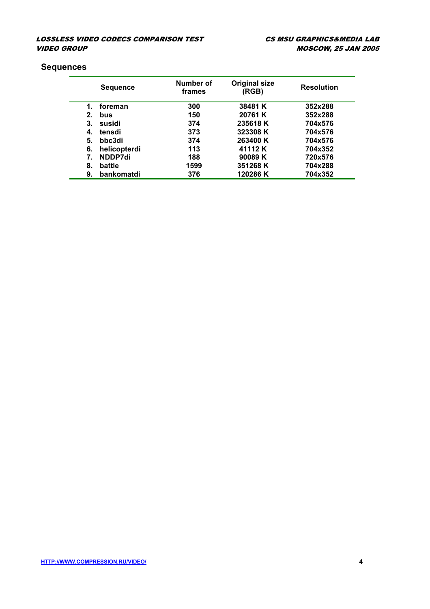#### **Sequences**

|    | <b>Sequence</b> | Number of<br>frames | <b>Original size</b><br>(RGB) | <b>Resolution</b> |  |
|----|-----------------|---------------------|-------------------------------|-------------------|--|
| 1. | foreman         | 300                 | 38481 K                       | 352x288           |  |
| 2. | bus             | 150                 | 20761 K                       | 352x288           |  |
| 3. | susidi          | 374                 | 235618 K                      | 704x576           |  |
| 4. | tensdi          | 373                 | 323308 K                      | 704x576           |  |
| 5. | bbc3di          | 374                 | 263400 K                      | 704x576           |  |
| 6. | helicopterdi    | 113                 | 41112 K                       | 704x352           |  |
| 7. | NDDP7di         | 188                 | 90089K                        | 720x576           |  |
| 8. | battle          | 1599                | 351268 K                      | 704x288           |  |
| 9. | bankomatdi      | 376                 | 120286 K                      | 704x352           |  |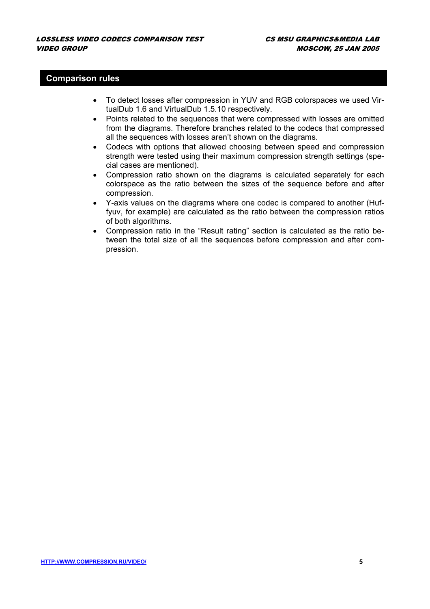## **Comparison rules**

- To detect losses after compression in YUV and RGB colorspaces we used VirtualDub 1.6 and VirtualDub 1.5.10 respectively.
- Points related to the sequences that were compressed with losses are omitted from the diagrams. Therefore branches related to the codecs that compressed all the sequences with losses aren't shown on the diagrams.
- Codecs with options that allowed choosing between speed and compression strength were tested using their maximum compression strength settings (special cases are mentioned).
- Compression ratio shown on the diagrams is calculated separately for each colorspace as the ratio between the sizes of the sequence before and after compression.
- Y-axis values on the diagrams where one codec is compared to another (Huffyuv, for example) are calculated as the ratio between the compression ratios of both algorithms.
- Compression ratio in the "Result rating" section is calculated as the ratio between the total size of all the sequences before compression and after compression.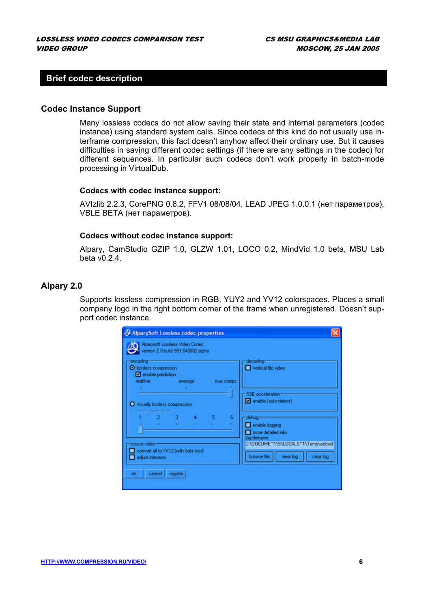#### **Brief codec description**

#### **Codec Instance Support**

Many lossless codecs do not allow saving their state and internal parameters (codec instance) using standard system calls. Since codecs of this kind do not usually use interframe compression, this fact doesn't anyhow affect their ordinary use. But it causes difficulties in saving different codec settings (if there are any settings in the codec) for different sequences. In particular such codecs don't work properly in batch-mode processing in VirtualDub.

#### **Codecs with codec instance support:**

AVIzlib 2.2.3, CorePNG 0.8.2, FFV1 08/08/04, LEAD JPEG 1.0.0.1 (нет параметров), VBLE BETA (нет параметров).

#### **Codecs without codec instance support:**

Alpary, CamStudio GZIP 1.0, GLZW 1.01, LOCO 0.2, MindVid 1.0 beta, MSU Lab beta v0.2.4.

#### **Alpary 2.0**

Supports lossless compression in RGB, YUY2 and YV12 colorspaces. Places a small company logo in the right bottom corner of the frame when unregistered. Doesn't support codec instance.

| encoding-<br><b>O</b> lossless compression<br>$\boxtimes$ enable prediction |                |         |   |   |            | decoding <sup>®</sup><br>vertical fip video        |
|-----------------------------------------------------------------------------|----------------|---------|---|---|------------|----------------------------------------------------|
| realtime:                                                                   |                | average |   |   | max compt. |                                                    |
|                                                                             |                |         | ٠ |   |            | -SSE acceleration-                                 |
|                                                                             |                |         |   |   |            | enable [auto detect]                               |
| O visually lossless compression<br>concression level                        |                |         |   |   |            |                                                    |
|                                                                             | 2 <sup>2</sup> | з       | 4 | 5 | ŝ          | debug                                              |
|                                                                             | ٠              | ×.      | ٠ |   |            | enable logging                                     |
|                                                                             |                |         |   |   |            | more detailed info                                 |
|                                                                             |                |         |   |   |            | log filename<br>C:\DOCUME~1\S\LOCALS~1\Temp\asicod |
| source video<br>convert all to YV12 (with data loss)                        |                |         |   |   |            |                                                    |
| adjust interlace                                                            |                |         |   |   |            | view log<br>clear log<br>browse file               |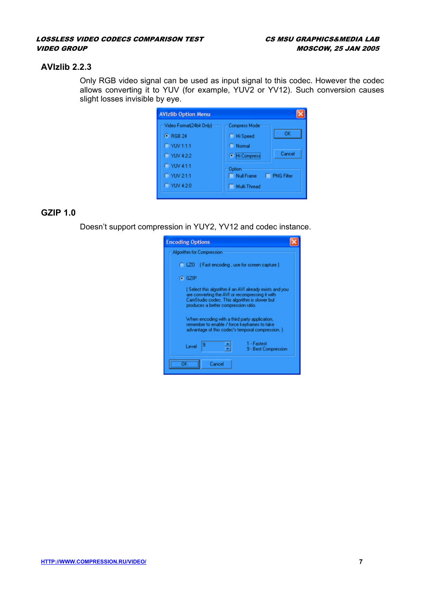#### LOSSLESS VIDEO CODECS COMPARISON TEST CS MSU GRAPHICS&MEDIA LAB VIDEO GROUP MOSCOW, 25 JAN 2005

#### **AVIzlib 2.2.3**

Only RGB video signal can be used as input signal to this codec. However the codec allows converting it to YUV (for example, YUV2 or YV12). Such conversion causes slight losses invisible by eye.

| <b>AVIzlib Option Menu</b>                                                                          |                                                                                               |                                          |
|-----------------------------------------------------------------------------------------------------|-----------------------------------------------------------------------------------------------|------------------------------------------|
| Video Format(24bit Only)<br>$C$ RGB 24<br>$C$ YUV 1:1:1<br>C YUV 4:22<br>C. YUV 4:1:1<br>C YUV 21:1 | <b>Compress Mode</b><br><b>C</b> Hi Speed<br>C Normal<br>Hi Compress<br>Option:<br>Null Frame | <b>OK</b><br>Cancel<br><b>PNG Filter</b> |
| C YUV 4:20                                                                                          | <b>Multi Thread</b>                                                                           |                                          |

#### **GZIP 1.0**

Doesn't support compression in YUY2, YV12 and codec instance.

| <b>Encoding Options</b>                                                                                                                                                                             |  |
|-----------------------------------------------------------------------------------------------------------------------------------------------------------------------------------------------------|--|
| <b>Algorithm for Compression</b>                                                                                                                                                                    |  |
| C LZD [Fast encoding, use for screen capture]                                                                                                                                                       |  |
| $G$ GZIP                                                                                                                                                                                            |  |
| [Select this algorithm if an AVI already exists and you<br>are converting the AVI or recompressing it with<br>CamStudio codec. This algorithm is slower but<br>produces a better compression ratio. |  |
| When encoding with a third party application.<br>remember to enable / force keyframes to take<br>advantage of this codec's temporal compression. ]                                                  |  |
| 1 - Fastest<br>Level<br><b>9 - Best Compression</b>                                                                                                                                                 |  |
| Cancel                                                                                                                                                                                              |  |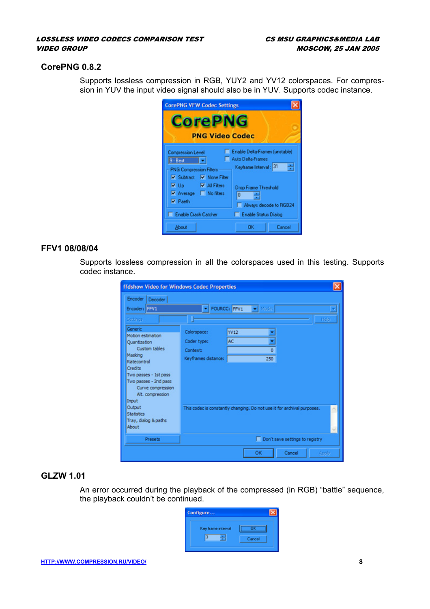#### **CorePNG 0.8.2**

Supports lossless compression in RGB, YUY2 and YV12 colorspaces. For compression in YUV the input video signal should also be in YUV. Supports codec instance.



#### **FFV1 08/08/04**

Supports lossless compression in all the colorspaces used in this testing. Supports codec instance.

| ffdshow Video for Windows Codec Properties                                                                                                                                                                                                             |                                                                                                                                             |  |
|--------------------------------------------------------------------------------------------------------------------------------------------------------------------------------------------------------------------------------------------------------|---------------------------------------------------------------------------------------------------------------------------------------------|--|
| Encoder Decoder<br>Encoder: EFV1<br>Settings<br>Generic<br>Motion estimation<br>Quantization<br>Custom tables<br>Masking<br>Ratecontrol<br>Credits<br>Two passes - 1st pass<br>Two passes - 2nd pass<br>Curve compression<br>Alt. compression<br>Input | FOURCC: FFV1<br>Modes<br>٠<br>Help<br><b>YV12</b><br>Colorspace:<br>AC<br>Coder type:<br>Context:<br>$\Omega$<br>Keyframes distance:<br>250 |  |
| Output<br><b>Statistics</b><br>Tray, dialog & paths<br>About                                                                                                                                                                                           | This codec is constantly changing. Do not use it for archival purposes.                                                                     |  |
| Presets                                                                                                                                                                                                                                                | Don't save settings to registry                                                                                                             |  |
|                                                                                                                                                                                                                                                        | OK<br>Cancel<br>Apply                                                                                                                       |  |

#### **GLZW 1.01**

An error occurred during the playback of the compressed (in RGB) "battle" sequence, the playback couldn't be continued.

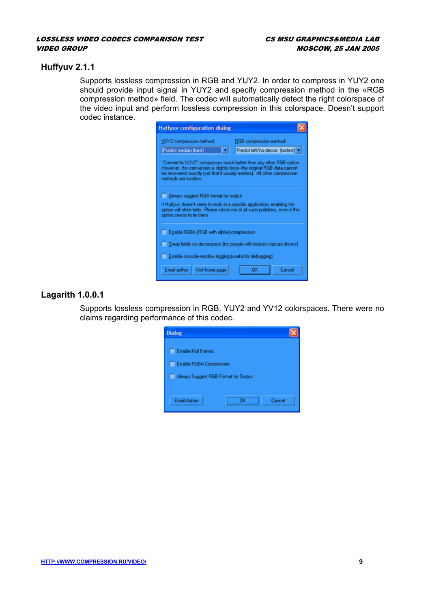#### **Huffyuv 2.1.1**

Supports lossless compression in RGB and YUY2. In order to compress in YUY2 one should provide input signal in YUY2 and specify compression method in the «RGB compression method» field. The codec will automatically detect the right colorspace of the video input and perform lossless compression in this colorspace. Doesn't support codec instance.

| <b>Huffyuv configuration dialog</b>                                                                                                                                                                                                                  |  |
|------------------------------------------------------------------------------------------------------------------------------------------------------------------------------------------------------------------------------------------------------|--|
| YUY2 compression method:<br><b>RGB</b> compression method:<br>Predict median (best)<br>Predict left/no decorr. [fastest] =                                                                                                                           |  |
| "Convert to YUY2" compresses much better than any other RGB option.<br>However, this conversion is slightly lossy-the original RGB data cannot<br>be recovered exactly (not that it usually matters). All other compression<br>methods are lossless. |  |
| Always suggest RGB format for output<br>If Huffyuv doesn't seem to work in a specific application, enabling this<br>option will often help. Please inform me of all such problems, even if this<br>option seems to fix them.                         |  |
| Enable RGBA (RGB with alpha) compression                                                                                                                                                                                                             |  |
| Swap fields on decompress (for people with broken capture drivers)                                                                                                                                                                                   |  |
| Enable console-window logging (useful for debugging)                                                                                                                                                                                                 |  |
| Email author   Visit home page<br>OΚ<br>Cancel                                                                                                                                                                                                       |  |

#### **Lagarith 1.0.0.1**

Supports lossless compression in RGB, YUY2 and YV12 colorspaces. There were no claims regarding performance of this codec.

| <b>Dialog</b>                        |  |
|--------------------------------------|--|
| Enable Null Frames                   |  |
| <b>Enable RGBA Compression</b>       |  |
| Always Suggest RGB Format for Output |  |
|                                      |  |
| Email Author<br>Cancel<br>OK         |  |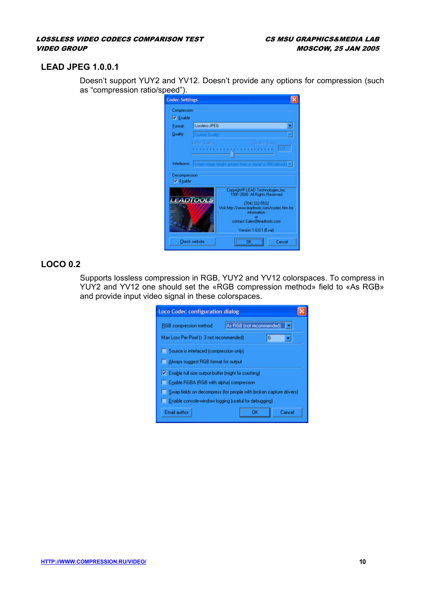#### **LEAD JPEG 1.0.0.1**

Doesn't support YUY2 and YV12. Doesn't provide any options for compression (such as "compression ratio/speed").

| <b>Codec Settings</b>            |                      |                                                                                                                                                                                                 |
|----------------------------------|----------------------|-------------------------------------------------------------------------------------------------------------------------------------------------------------------------------------------------|
| Compression<br>$\nabla$ Enable   |                      |                                                                                                                                                                                                 |
| Format:                          | Lossless JPEG        |                                                                                                                                                                                                 |
| Quality.                         | Custom Quality       |                                                                                                                                                                                                 |
|                                  | Better Quality       | Smaller Size                                                                                                                                                                                    |
| Interleave:                      |                      | When image height greater than or equal to 288 (default) >                                                                                                                                      |
| Decompression<br>$\nabla$ Enable |                      |                                                                                                                                                                                                 |
|                                  |                      | Copyright <sup>®</sup> LEAD Technologies, Inc.<br>1991-2000 All Rights Reserved<br>(704) 332-5532<br>Visit http://www.leadtools.com/codec.htm for<br>information<br>contact Sales@leadtools.com |
|                                  |                      | Version 1.0.0.1 (Eval)                                                                                                                                                                          |
|                                  | <b>Check website</b> | OK<br>Cancel                                                                                                                                                                                    |

### **LOCO 0.2**

Supports lossless compression in RGB, YUY2 and YV12 colorspaces. To compress in YUY2 and YV12 one should set the «RGB compression method» field to «As RGB» and provide input video signal in these colorspaces.

| <b>Loco Codec configuration dialog</b>                             |  |  |  |
|--------------------------------------------------------------------|--|--|--|
| As RGB (not recommended)<br>RGB compression method:                |  |  |  |
| Max Loss Per Pixel (> 3 not recommended):<br>0                     |  |  |  |
| Source is interlaced (compression only).                           |  |  |  |
| Always suggest RGB format for output                               |  |  |  |
| Enable full size output-buffer [might fix crashing]                |  |  |  |
| Enable RGBA (RGB with alpha) compression                           |  |  |  |
| Swap fields on decompress (for people with broken capture drivers) |  |  |  |
| Enable console-window logging (useful for debugging)               |  |  |  |
| Email author<br>Cancel<br>OΚ                                       |  |  |  |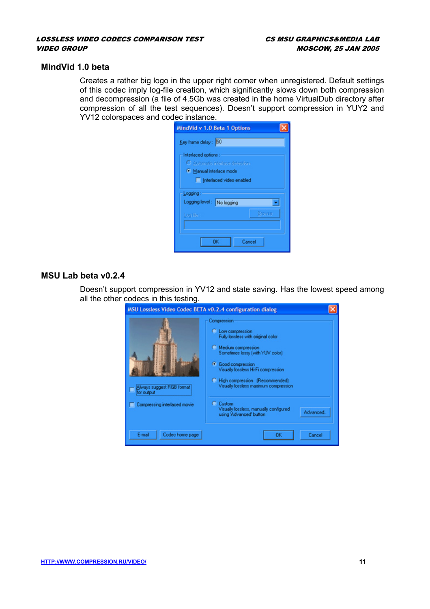#### **MindVid 1.0 beta**

Creates a rather big logo in the upper right corner when unregistered. Default settings of this codec imply log-file creation, which significantly slows down both compression and decompression (a file of 4.5Gb was created in the home VirtualDub directory after compression of all the test sequences). Doesn't support compression in YUY2 and YV12 colorspaces and codec instance.

| MindVid v 1.0 Beta 1 Options     |  |  |
|----------------------------------|--|--|
| Key frame delay: 50              |  |  |
| Interlaced options:              |  |  |
| C Automotic interlace detection. |  |  |
| Manual interlace mode            |  |  |
| Interlaced video enabled         |  |  |
| Logging:                         |  |  |
| Logging level: No logging        |  |  |
| Browse<br>Log file:              |  |  |
|                                  |  |  |
| Cancel<br>ок                     |  |  |

#### **MSU Lab beta v0.2.4**

Doesn't support compression in YV12 and state saving. Has the lowest speed among all the other codecs in this testing.

| MSU Lossless Video Codec BETA v0.2.4 configuration dialog               |                                                                                                                                                                                                                                                                                                                                                                                       |  |
|-------------------------------------------------------------------------|---------------------------------------------------------------------------------------------------------------------------------------------------------------------------------------------------------------------------------------------------------------------------------------------------------------------------------------------------------------------------------------|--|
| Always suggest RGB format<br>for output<br>Compressing interlaced movie | Compression:<br>C Low compression<br>Fully lossless with original color<br>Medium compression<br>Sometimes lossy (with YUV color)<br><b>6</b> Good compression<br>Visually lossless Hi-Fi compression<br>C High compression (Recommended)<br>Visually lossless maximum compression<br><b>Custom</b><br>Visually lossless, manually configured<br>Advanced.<br>using 'Advanced' button |  |
| E-mail<br>Codec home page                                               | <b>OK</b><br>Cancel                                                                                                                                                                                                                                                                                                                                                                   |  |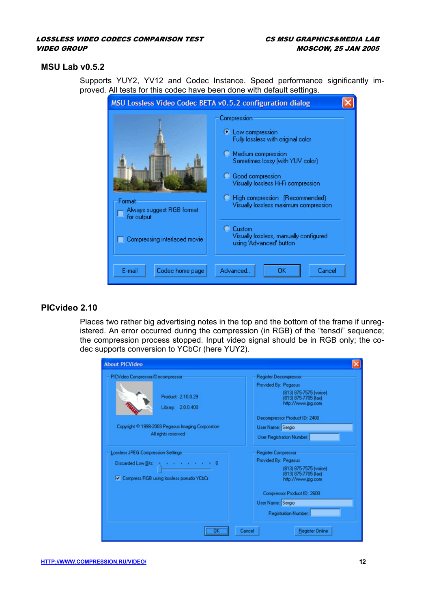#### LOSSLESS VIDEO CODECS COMPARISON TEST CS MSU GRAPHICS&MEDIA LAB VIDEO GROUP MOSCOW, 25 JAN 2005

#### **MSU Lab v0.5.2**

Supports YUY2, YV12 and Codec Instance. Speed performance significantly improved. All tests for this codec have been done with default settings.

| MSU Lossless Video Codec BETA v0.5.2 configuration dialog |                                                                                                                                                                                                 |  |
|-----------------------------------------------------------|-------------------------------------------------------------------------------------------------------------------------------------------------------------------------------------------------|--|
|                                                           | Compression<br>C Low compression<br>Fully lossless with original color<br>O Medium compression<br>Sometimes lossy (with YUV color)<br>C Good compression<br>Visually lossless Hi-Fi compression |  |
| Formati<br>Always suggest RGB format<br>for output        | C High compression (Recommended)<br>Visually lossless maximum compression.                                                                                                                      |  |
| Compressing interlaced movie                              | <b>C</b> Custom<br>Visually lossless, manually configured<br>using 'Advanced' button                                                                                                            |  |
| E-mail<br>Codec home page                                 | Advanced<br>0K.<br>Cancel                                                                                                                                                                       |  |

#### **PICvideo 2.10**

Places two rather big advertising notes in the top and the bottom of the frame if unregistered. An error occurred during the compression (in RGB) of the "tensdi" sequence; the compression process stopped. Input video signal should be in RGB only; the codec supports conversion to YCbCr (here YUY2).

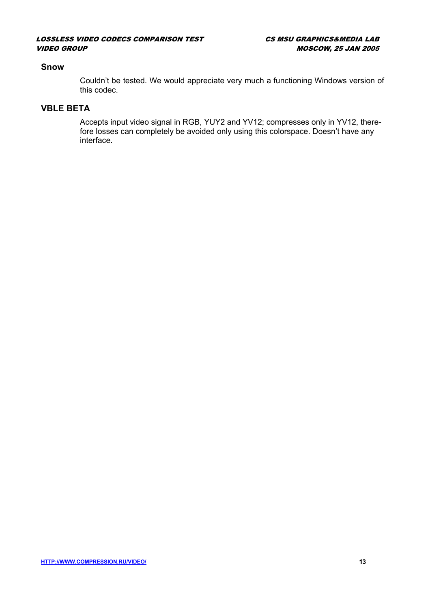#### LOSSLESS VIDEO CODECS COMPARISON TEST CS MSU GRAPHICS&MEDIA LAB VIDEO GROUP MOSCOW, 25 JAN 2005

#### **Snow**

Couldn't be tested. We would appreciate very much a functioning Windows version of this codec.

#### **VBLE BETA**

Accepts input video signal in RGB, YUY2 and YV12; compresses only in YV12, therefore losses can completely be avoided only using this colorspace. Doesn't have any interface.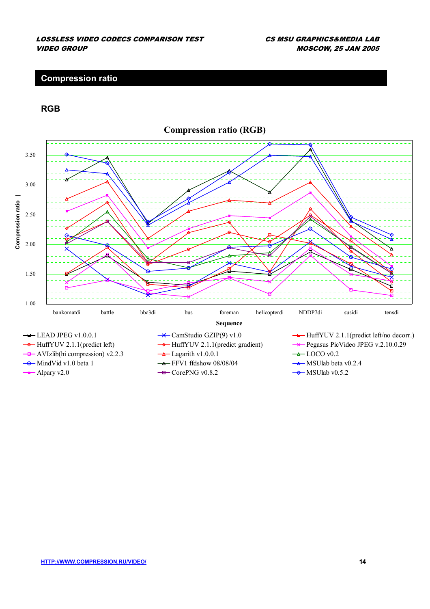## **Compression ratio**

#### **RGB**

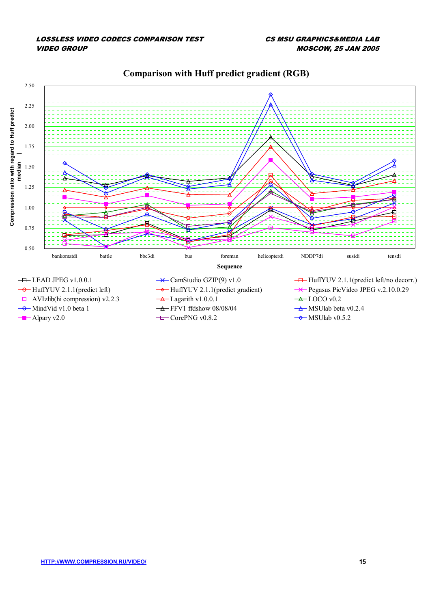

## **Comparison with Huff predict gradient (RGB)**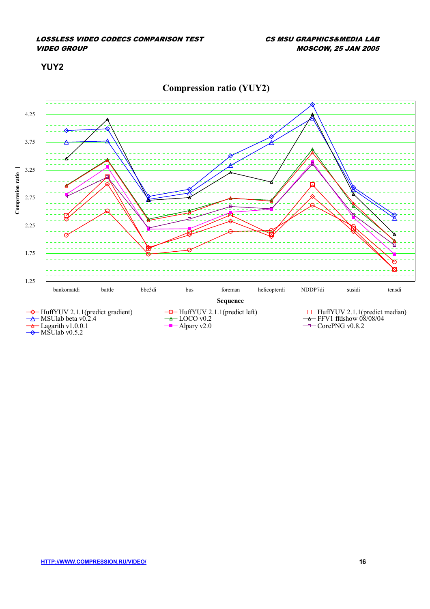

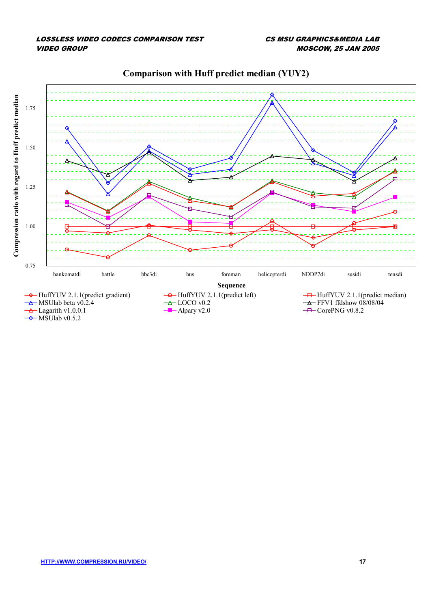

**Comparison with Huff predict median (YUY2)**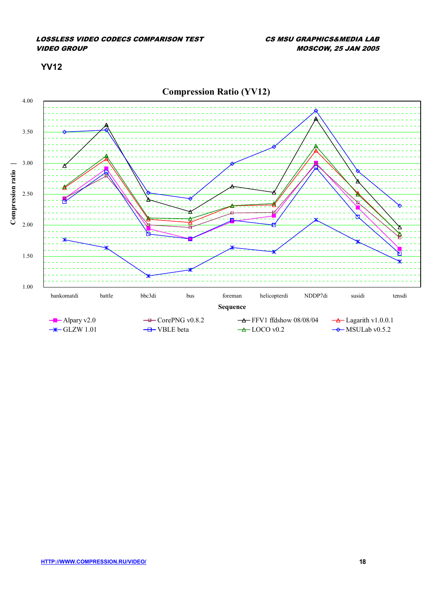

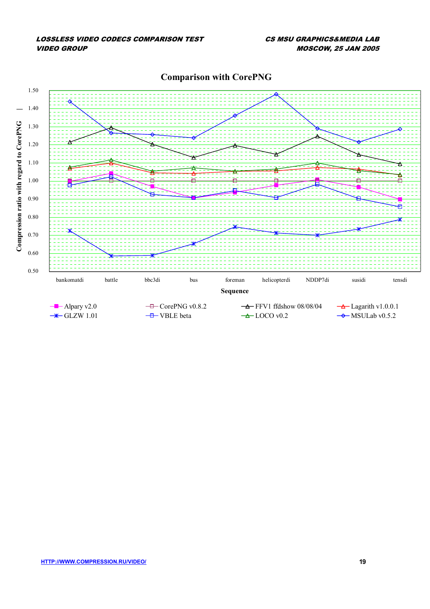

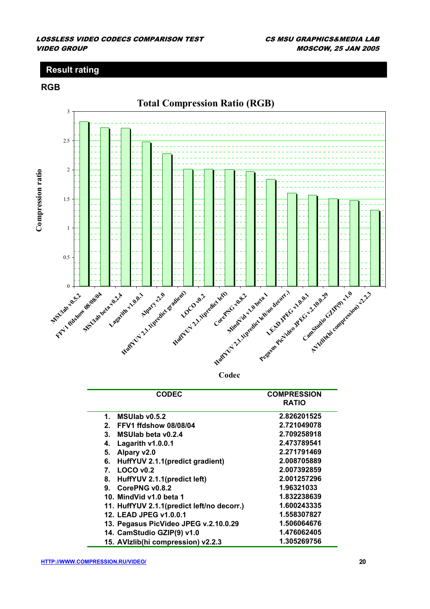LOSSLESS VIDEO CODECS COMPARISON TEST CS MSU GRAPHICS&MEDIA LAB VIDEO GROUP MOSCOW, 25 JAN 2005

## **Result rating**

#### **RGB**



**Codec**

| <b>CODEC</b>                                | <b>COMPRESSION</b><br><b>RATIO</b> |
|---------------------------------------------|------------------------------------|
| MSUIab v0.5.2<br>$\mathbf 1$ .              | 2.826201525                        |
| 2. FFV1 ffdshow 08/08/04                    | 2.721049078                        |
| 3. MSUIab beta v0.2.4                       | 2.709258918                        |
| Lagarith v1.0.0.1<br>4.                     | 2.473789541                        |
| Alpary v2.0<br>5.                           | 2.271791469                        |
| HuffYUV 2.1.1 (predict gradient)<br>6.      | 2.008705889                        |
| 7. LOCO v0.2                                | 2.007392859                        |
| 8. HuffYUV 2.1.1(predict left)              | 2.001257296                        |
| 9. CorePNG v0.8.2                           | 1.96321033                         |
| 10. MindVid v1.0 beta 1                     | 1.832238639                        |
| 11. HuffYUV 2.1.1 (predict left/no decorr.) | 1.600243335                        |
| 12. LEAD JPEG v1.0.0.1                      | 1.558307827                        |
| 13. Pegasus PicVideo JPEG v.2.10.0.29       | 1.506064676                        |
| 14. CamStudio GZIP(9) v1.0                  | 1.476062405                        |
| 15. AVIzlib(hi compression) v2.2.3          | 1.305269756                        |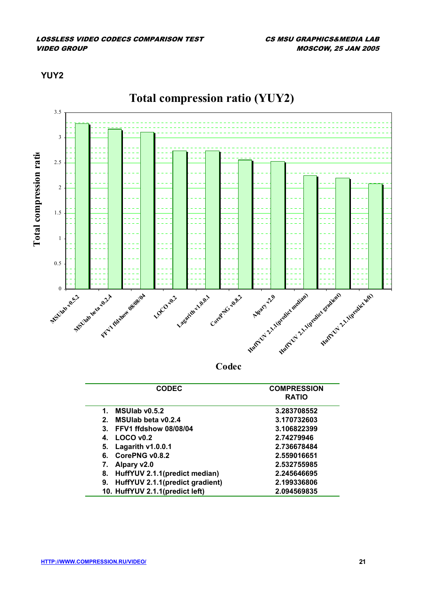**YUY2** 



**Codec**

| <b>CODEC</b>                            | <b>COMPRESSION</b><br><b>RATIO</b> |
|-----------------------------------------|------------------------------------|
| MSUlab $v0.5.2$<br>1.                   | 3.283708552                        |
| MSUlab beta v0.2.4<br>$2_{-}$           | 3.170732603                        |
| <b>FFV1 ffdshow 08/08/04</b><br>$3_{-}$ | 3.106822399                        |
| LOCO <sub>0.2</sub><br>4.               | 2.74279946                         |
| Lagarith v1.0.0.1<br>5.                 | 2.736678484                        |
| CorePNG v0.8.2<br>6.                    | 2.559016651                        |
| Alpary v2.0<br>7.                       | 2.532755985                        |
| HuffYUV 2.1.1(predict median)<br>8.     | 2.245646695                        |
| HuffYUV 2.1.1(predict gradient)<br>9.   | 2.199336806                        |
| 10. HuffYUV 2.1.1 (predict left)        | 2.094569835                        |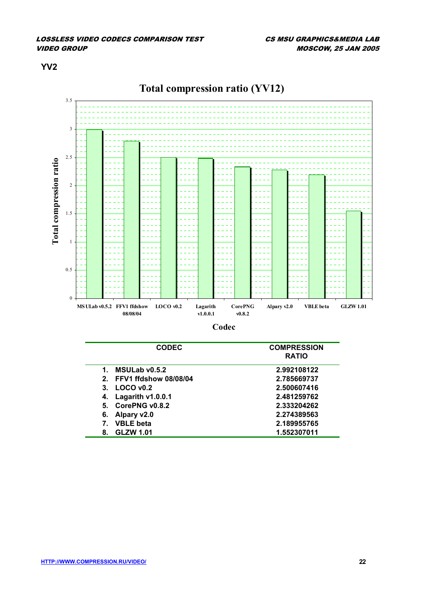**YV2** 



## **Total compression ratio (YV12)**

**Codec**

|    | <b>CODEC</b>             | <b>COMPRESSION</b><br><b>RATIO</b> |
|----|--------------------------|------------------------------------|
| 1. | MSULab v0.5.2            | 2.992108122                        |
|    | 2. FFV1 ffdshow 08/08/04 | 2.785669737                        |
| 3. | LOCO <sub>0.2</sub>      | 2.500607416                        |
| 4. | Lagarith v1.0.0.1        | 2.481259762                        |
|    | 5. CorePNG v0.8.2        | 2.333204262                        |
| 6. | Alpary v2.0              | 2.274389563                        |
|    | <b>VBLE</b> beta         | 2.189955765                        |
| 8. | <b>GLZW 1.01</b>         | 1.552307011                        |